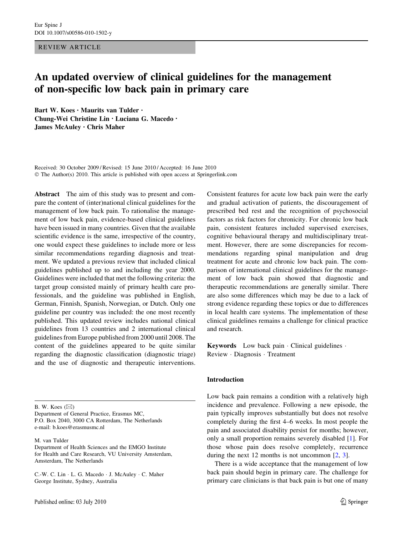REVIEW ARTICLE

# An updated overview of clinical guidelines for the management of non-specific low back pain in primary care

Bart W. Koes • Maurits van Tulder • Chung-Wei Christine Lin • Luciana G. Macedo • James McAuley • Chris Maher

Received: 30 October 2009 / Revised: 15 June 2010 / Accepted: 16 June 2010 © The Author(s) 2010. This article is published with open access at Springerlink.com

Abstract The aim of this study was to present and compare the content of (inter)national clinical guidelines for the management of low back pain. To rationalise the management of low back pain, evidence-based clinical guidelines have been issued in many countries. Given that the available scientific evidence is the same, irrespective of the country, one would expect these guidelines to include more or less similar recommendations regarding diagnosis and treatment. We updated a previous review that included clinical guidelines published up to and including the year 2000. Guidelines were included that met the following criteria: the target group consisted mainly of primary health care professionals, and the guideline was published in English, German, Finnish, Spanish, Norwegian, or Dutch. Only one guideline per country was included: the one most recently published. This updated review includes national clinical guidelines from 13 countries and 2 international clinical guidelines from Europe published from 2000 until 2008. The content of the guidelines appeared to be quite similar regarding the diagnostic classification (diagnostic triage) and the use of diagnostic and therapeutic interventions.

B. W. Koes  $(\boxtimes)$ 

Department of General Practice, Erasmus MC, P.O. Box 2040, 3000 CA Rotterdam, The Netherlands e-mail: b.koes@erasmusmc.nl

M. van Tulder

Department of Health Sciences and the EMGO Institute for Health and Care Research, VU University Amsterdam, Amsterdam, The Netherlands

C.-W. C. Lin - L. G. Macedo - J. McAuley - C. Maher George Institute, Sydney, Australia

Consistent features for acute low back pain were the early and gradual activation of patients, the discouragement of prescribed bed rest and the recognition of psychosocial factors as risk factors for chronicity. For chronic low back pain, consistent features included supervised exercises, cognitive behavioural therapy and multidisciplinary treatment. However, there are some discrepancies for recommendations regarding spinal manipulation and drug treatment for acute and chronic low back pain. The comparison of international clinical guidelines for the management of low back pain showed that diagnostic and therapeutic recommendations are generally similar. There are also some differences which may be due to a lack of strong evidence regarding these topics or due to differences in local health care systems. The implementation of these clinical guidelines remains a challenge for clinical practice and research.

Keywords Low back pain · Clinical guidelines · Review - Diagnosis - Treatment

#### Introduction

Low back pain remains a condition with a relatively high incidence and prevalence. Following a new episode, the pain typically improves substantially but does not resolve completely during the first 4–6 weeks. In most people the pain and associated disability persist for months; however, only a small proportion remains severely disabled [\[1](#page-18-0)]. For those whose pain does resolve completely, recurrence during the next 12 months is not uncommon [\[2](#page-18-0), [3](#page-18-0)].

There is a wide acceptance that the management of low back pain should begin in primary care. The challenge for primary care clinicians is that back pain is but one of many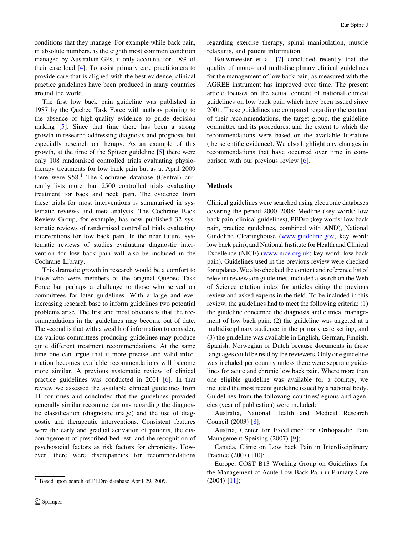conditions that they manage. For example while back pain, in absolute numbers, is the eighth most common condition managed by Australian GPs, it only accounts for 1.8% of their case load [[4\]](#page-18-0). To assist primary care practitioners to provide care that is aligned with the best evidence, clinical practice guidelines have been produced in many countries around the world.

The first low back pain guideline was published in 1987 by the Quebec Task Force with authors pointing to the absence of high-quality evidence to guide decision making [[5\]](#page-18-0). Since that time there has been a strong growth in research addressing diagnosis and prognosis but especially research on therapy. As an example of this growth, at the time of the Spitzer guideline [[5\]](#page-18-0) there were only 108 randomised controlled trials evaluating physiotherapy treatments for low back pain but as at April 2009 there were  $958<sup>1</sup>$ . The Cochrane database (Central) currently lists more than 2500 controlled trials evaluating treatment for back and neck pain. The evidence from these trials for most interventions is summarised in systematic reviews and meta-analysis. The Cochrane Back Review Group, for example, has now published 32 systematic reviews of randomised controlled trials evaluating interventions for low back pain. In the near future, systematic reviews of studies evaluating diagnostic intervention for low back pain will also be included in the Cochrane Library.

This dramatic growth in research would be a comfort to those who were members of the original Quebec Task Force but perhaps a challenge to those who served on committees for later guidelines. With a large and ever increasing research base to inform guidelines two potential problems arise. The first and most obvious is that the recommendations in the guidelines may become out of date. The second is that with a wealth of information to consider, the various committees producing guidelines may produce quite different treatment recommendations. At the same time one can argue that if more precise and valid information becomes available recommendations will become more similar. A previous systematic review of clinical practice guidelines was conducted in 2001 [\[6](#page-18-0)]. In that review we assessed the available clinical guidelines from 11 countries and concluded that the guidelines provided generally similar recommendations regarding the diagnostic classification (diagnostic triage) and the use of diagnostic and therapeutic interventions. Consistent features were the early and gradual activation of patients, the discouragement of prescribed bed rest, and the recognition of psychosocial factors as risk factors for chronicity. However, there were discrepancies for recommendations regarding exercise therapy, spinal manipulation, muscle relaxants, and patient information.

Bouwmeester et al. [[7\]](#page-18-0) concluded recently that the quality of mono- and multidisciplinary clinical guidelines for the management of low back pain, as measured with the AGREE instrument has improved over time. The present article focuses on the actual content of national clinical guidelines on low back pain which have been issued since 2001. These guidelines are compared regarding the content of their recommendations, the target group, the guideline committee and its procedures, and the extent to which the recommendations were based on the available literature (the scientific evidence). We also highlight any changes in recommendations that have occurred over time in comparison with our previous review [\[6](#page-18-0)].

## Methods

Clinical guidelines were searched using electronic databases covering the period 2000–2008: Medline (key words: low back pain, clinical guidelines), PEDro (key words: low back pain, practice guidelines, combined with AND), National Guideline Clearinghouse ([www.guideline.gov;](http://www.guideline.gov) key word: low back pain), and National Institute for Health and Clinical Excellence (NICE) [\(www.nice.org.uk;](http://www.nice.org.uk) key word: low back pain). Guidelines used in the previous review were checked for updates. We also checked the content and reference list of relevant reviews on guidelines, included a search on the Web of Science citation index for articles citing the previous review and asked experts in the field. To be included in this review, the guidelines had to meet the following criteria: (1) the guideline concerned the diagnosis and clinical management of low back pain, (2) the guideline was targeted at a multidisciplinary audience in the primary care setting, and (3) the guideline was available in English, German, Finnish, Spanish, Norwegian or Dutch because documents in these languages could be read by the reviewers. Only one guideline was included per country unless there were separate guidelines for acute and chronic low back pain. Where more than one eligible guideline was available for a country, we included the most recent guideline issued by a national body. Guidelines from the following countries/regions and agencies (year of publication) were included:

Australia, National Health and Medical Research Council (2003) [\[8](#page-18-0)];

Austria, Center for Excellence for Orthopaedic Pain Management Speising (2007) [[9\]](#page-18-0);

Canada, Clinic on Low back Pain in Interdisciplinary Practice (2007) [\[10](#page-18-0)];

Europe, COST B13 Working Group on Guidelines for the Management of Acute Low Back Pain in Primary Care

<sup>&</sup>lt;sup>1</sup> Based upon search of PEDro database April 29, 2009.  $(2004)$  [\[11](#page-18-0)];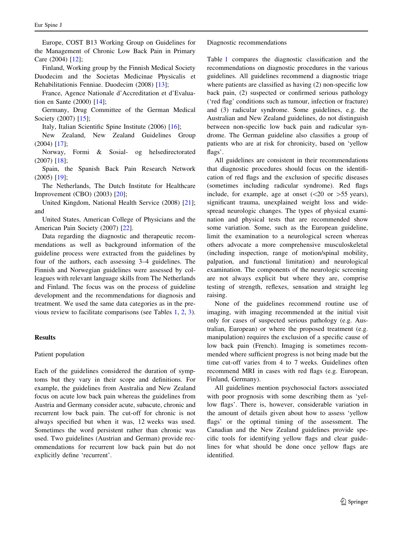Europe, COST B13 Working Group on Guidelines for the Management of Chronic Low Back Pain in Primary Care (2004) [[12\]](#page-18-0);

Finland, Working group by the Finnish Medical Society Duodecim and the Societas Medicinae Physicalis et Rehabilitationis Fenniae. Duodecim (2008) [[13\]](#page-18-0);

France, Agence Nationale d'Accreditation et d'Evaluation en Sante (2000) [[14\]](#page-18-0);

Germany, Drug Committee of the German Medical Society (2007) [[15\]](#page-18-0);

Italy, Italian Scientific Spine Institute (2006) [\[16](#page-18-0)];

New Zealand, New Zealand Guidelines Group (2004) [\[17](#page-18-0)];

Norway, Formi & Sosial- og helsedirectorated (2007) [\[18](#page-18-0)];

Spain, the Spanish Back Pain Research Network (2005) [\[19](#page-18-0)];

The Netherlands, The Dutch Institute for Healthcare Improvement (CBO) (2003) [\[20](#page-18-0)];

United Kingdom, National Health Service (2008) [[21](#page-18-0)]; and

United States, American College of Physicians and the American Pain Society (2007) [[22\]](#page-18-0).

Data regarding the diagnostic and therapeutic recommendations as well as background information of the guideline process were extracted from the guidelines by four of the authors, each assessing 3–4 guidelines. The Finnish and Norwegian guidelines were assessed by colleagues with relevant language skills from The Netherlands and Finland. The focus was on the process of guideline development and the recommendations for diagnosis and treatment. We used the same data categories as in the previous review to facilitate comparisons (see Tables [1](#page-3-0), [2,](#page-7-0) [3](#page-13-0)).

# Results

# Patient population

Each of the guidelines considered the duration of symptoms but they vary in their scope and definitions. For example, the guidelines from Australia and New Zealand focus on acute low back pain whereas the guidelines from Austria and Germany consider acute, subacute, chronic and recurrent low back pain. The cut-off for chronic is not always specified but when it was, 12 weeks was used. Sometimes the word persistent rather than chronic was used. Two guidelines (Austrian and German) provide recommendations for recurrent low back pain but do not explicitly define 'recurrent'.

Diagnostic recommendations

Table [1](#page-3-0) compares the diagnostic classification and the recommendations on diagnostic procedures in the various guidelines. All guidelines recommend a diagnostic triage where patients are classified as having (2) non-specific low back pain, (2) suspected or confirmed serious pathology ('red flag' conditions such as tumour, infection or fracture) and (3) radicular syndrome. Some guidelines, e.g. the Australian and New Zealand guidelines, do not distinguish between non-specific low back pain and radicular syndrome. The German guideline also classifies a group of patients who are at risk for chronicity, based on 'yellow flags'.

All guidelines are consistent in their recommendations that diagnostic procedures should focus on the identification of red flags and the exclusion of specific diseases (sometimes including radicular syndrome). Red flags include, for example, age at onset  $(<20$  or  $>55$  years), significant trauma, unexplained weight loss and widespread neurologic changes. The types of physical examination and physical tests that are recommended show some variation. Some, such as the European guideline, limit the examination to a neurological screen whereas others advocate a more comprehensive musculoskeletal (including inspection, range of motion/spinal mobility, palpation, and functional limitation) and neurological examination. The components of the neurologic screening are not always explicit but where they are, comprise testing of strength, reflexes, sensation and straight leg raising.

None of the guidelines recommend routine use of imaging, with imaging recommended at the initial visit only for cases of suspected serious pathology (e.g. Australian, European) or where the proposed treatment (e.g. manipulation) requires the exclusion of a specific cause of low back pain (French). Imaging is sometimes recommended where sufficient progress is not being made but the time cut-off varies from 4 to 7 weeks. Guidelines often recommend MRI in cases with red flags (e.g. European, Finland, Germany).

All guidelines mention psychosocial factors associated with poor prognosis with some describing them as 'yellow flags'. There is, however, considerable variation in the amount of details given about how to assess 'yellow flags' or the optimal timing of the assessment. The Canadian and the New Zealand guidelines provide specific tools for identifying yellow flags and clear guidelines for what should be done once yellow flags are identified.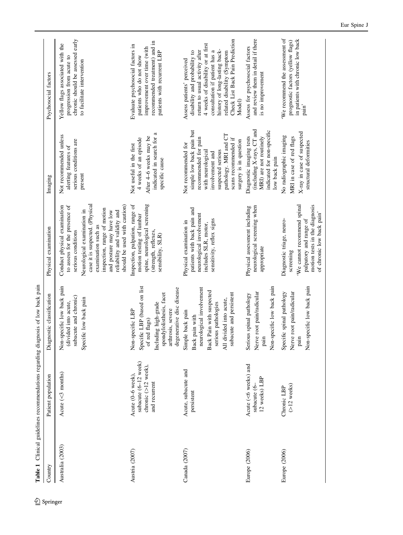<span id="page-3-0"></span>We recommend the assessment of and review them in detail if there chronic should be assessed early in patients with chronic low back Check List Back Pain Prediction Check List Back Pain Prediction and review them in detail if there 'We recommend the assessment of prognostic factors (yellow flags) in patients with chronic low back chronic should be assessed early recommended treatment) and in prognostic factors (yellow flags) recommended treatment) and in Yellow flags associated with the Evaluate psychosocial factors in 4 weeks of disability or at first 4 weeks of disability or at first Yellow flags associated with the Evaluate psychosocial factors in improvement over time (with Assess for psychosocial factors improvement over time (with Assess for psychosocial factors history of long-lasting backdisability and probability to return to usual activity after consultation if patient has a history of long-lasting backrelated disability (Symptom patients with recurrent LBP return to usual activity after patients with recurrent LBP disability and probability to consultation if patient has a related disability (Symptom progression from acute to patients who do not show progression from acute to patients who do not show Assess patients' perceived Assess patients' perceived to facilitate intervention to facilitate intervention is no improvement is no improvement Psychosocial factors Country Patient population Diagnostic classification Physical examination Imaging Psychosocial factors Model) pain' (including X-rays, CT and (including X-rays, CT and simple low back pain but simple low back pain but indicated for non-specific indicated for non-specific indicated in search for a X-ray in case of suspected X-ray in case of suspected indicated in search for a pathology. MRI and CT pathology. MRI and CT No radiographic imaging After 4-6 weeks may be MRI) are not routinely Not recommended unless Not recommended unless Diagnostic imaging tests No radiographic imaging MRI in case of red flags 4 weeks of an episode After 4–6 weeks may be recommended for pain scans recommended if Diagnostic imaging tests recommended for pain scans recommended if MRI) are not routinely MRI in case of red flags serious conditions are 4 weeks of an episode surgery is in question serious conditions are surgery is in question structural deformities Not recommended for structural deformities Not recommended for Not useful in the first alerting features of Not useful in the first alerting features of suspected serious with neurological with neurological suspected serious involvement and involvement and low back pain specific cause low back pain specific cause present Imaging spine, neurological screening case it is suspected. (Physical case it is suspected. (Physical should be used with caution) Inspection, palpation, range of We cannot recommend spinal motion tests in the diagnosis Conduct physical examination to assess for the presence of should be used with caution) Inspection, palpation, range of spine, neurological screening neurological screening when 'We cannot recommend spinal Conduct physical examination to assess for the presence of Physical assessment including neurological screening when motion tests in the diagnosis inspection, range of motion patients with back pain and Physical assessment including Neurological examination in patients with back pain and inspection, range of motion reliability and validity and and posture may have low Neurological examination in reliability and validity and and posture may have low of chronic low back pain' neurological involvement motion testing of lumbar of chronic low back pain' neurological involvement motion testing of lumbar palpatory and range of sensitivity, reflex signs Diagnostic triage, neuro-Physical examination in Diagnostic triage, neurosensitivity, reflex signs palpatory and range of Physical examination in includes SLR, motor, includes SLR, motor, examination such as examination such as Physical examination serious conditions (strength, reflexes, (strength, reflexes, serious conditions sensibility, SLR) sensibility, SLR) appropriate appropriate screening Table 1 Clinical guidelines recommendations regarding diagnosis of low back pain Table 1 Clinical guidelines recommendations regarding diagnosis of low back pain Non-specific low back pain Specific LBP (based on list Specific LBP (based on list Non-specific low back pain  $\leq$ 3 months) Non-specific low back pain degenerative disc disease neurological involvement Non-specific low back pain Non-specific low back pain Non-specific low back pain degenerative disc disease neurological involvement **Back Pain with suspected** Back Pain with suspected Specific spinal pathology Nerve root pain/radicular Nerve root pain/radicular spondylolisthesis, facet subacute and persistent Serious spinal pathology Nerve root pain/radicular Specific spinal pathology Nerve root pain/radicular spondylolisthesis, facet subacute and persistent Diagnostic classification Serious spinal pathology subacute and chronic) subacute and chronic) specific low back pain Specific low back pain All divided into acute, All divided into acute, (divided into acute, (divided into acute, ncluding high-grade serious pathologies Including high-grade serious pathologies Non-specific LBP arthrosis, severe Non-specific LBP arthrosis, severe Simple back pain Simple back pain Back pain with Back pain with of red flags) of red flags) pain pain subacute (6-12 week) subacute (6–12 week) Acute  $(<$ 6 weeks) and chronic  $(>12$  week),  $<$  weeks) and  $>12$  week), Acute, subacute and Canada (2007) Acute, subacute and Acute  $(<3$  months) Patient population Acute (0-6 week). Austria (2007) Acute (0–6 week), 12 weeks) LBP 12 weeks) LBP and recurrent and recurrent subacute  $(6$ subacute (6–  $(>12$  weeks)  $(>12$  weeks) Chronic LBP Europe (2006) Chronic LBP persistent Australia (2003) Acute ( Europe (2006) Acute ( Australia (2003) Austria (2007) Canada (2007) Europe (2006) Europe (2006) Country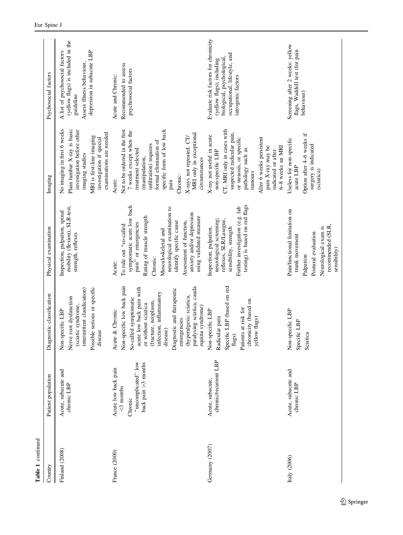| Country        | Patient population                                                                        | Diagnostic classification                                                                                                                                                                                                                                                                                                | Physical examination                                                                                                                                                                                                                                                                                | Imaging                                                                                                                                                                                                                                                                                 | Psychosocial factors                                                                                                                                 |
|----------------|-------------------------------------------------------------------------------------------|--------------------------------------------------------------------------------------------------------------------------------------------------------------------------------------------------------------------------------------------------------------------------------------------------------------------------|-----------------------------------------------------------------------------------------------------------------------------------------------------------------------------------------------------------------------------------------------------------------------------------------------------|-----------------------------------------------------------------------------------------------------------------------------------------------------------------------------------------------------------------------------------------------------------------------------------------|------------------------------------------------------------------------------------------------------------------------------------------------------|
| Finland (2008) | Acute, subacute and<br>chronic LBP                                                        | Possible serious or specific<br>intermittent claudication)<br>Nerve root dysfunction<br>(sciatic syndrome,<br>Non-specific LBP<br>disease                                                                                                                                                                                | mobility (flexion), SLR-test,<br>Inspection, palpation, spinal<br>strength, reflexes                                                                                                                                                                                                                | No imaging in first 6 weeks<br>Plain lumbar X-ray is basic<br>investigation before other<br>examinations are needed<br>MRI is first-line imaging<br>investigation if special<br>imaging studies                                                                                         | (yellow flags) is included in the<br>A list of psychosocial factors<br>depression in subacute LBP<br>Assess illness behaviour,<br>guideline          |
| France (2000)  | "uncomplicated" low<br>back pain >3 months<br>Acute low back pain<br><3 months<br>Chronic | Non-specific low back pain<br>paralysing sciatica, cauda<br>acute low back pain with<br>Diagnostic and therapeutic<br>infection, inflammatory<br>(hyperalgesic sciatica,<br>led symptomatic<br>(fracture, neoplasm,<br>or without sciatica<br>equina syndrome)<br>Acute & Chronic:<br>emergencies<br>disease)<br>So-call | symptomatic acute low back<br>neurological examination to<br>anxiety and/or depression<br>Rating of muscle strength<br>using validated measure<br>identify specific cause<br>Assessment of function,<br>pain" or emergencies<br>To rule out "so-called<br>Musculoskeletal and<br>Chronic:<br>Acute: | Not to be ordered in the first<br>specific form of low back<br>7 weeks except when the<br>MRI only in exceptional<br>X-rays not repeated. CT/<br>formal elimination of<br>infiltration) requires<br>treatment selected<br>(manipulation,<br>circumstances<br>Chronic:<br>Acute:<br>pain | Recommended to assess<br>psychosocial factors<br>Acute and Chronic:                                                                                  |
| Germany (2007) | chronic/recurrent LBP<br>Acute, subacute,                                                 | Specific LBP (based on red<br>chronicity (based on<br>Patients at risk for<br>Non-specific LBP<br>Radicular pain<br>yellow flags)<br>$\rm{flags})$                                                                                                                                                                       | testing) is based on red flags<br>Further investigation (e.g. lab<br>neurological screening;<br>reflexes, SLR/Lasegue,<br>Inspection, palpation,<br>sensibility, strength                                                                                                                           | CT, MRI only in cases with<br>suspected radicular pain,<br>X-ray not useful in acute<br>or stenosis, or specific<br>After 6 weeks persistent<br>pain X-ray may be<br>6-8 weeks an MRI<br>pathology such as<br>indicated or after<br>non-specific LBP<br>tumours                         | Evaluate risk factors for chronicity<br>occupational, lifestyle, and<br>biological, psychological<br>(yellow flags); including<br>iatrogenic factors |
| Italy $(2006)$ | Acute, subacute and<br>chronic LBP                                                        | Non-specific LBP<br>Specific LBP<br>Sciatica                                                                                                                                                                                                                                                                             | Pain/functional limitation on<br>recommended (SLR,<br>Neurological exam is<br>Postural evaluation<br>trunk movement<br>sensibility)<br>Palpation                                                                                                                                                    | Option after 4–6 weeks if<br>Useless for non-specific<br>surgery is indicated<br>acute LBP<br>(sciatica)                                                                                                                                                                                | Screening after 2 weeks: yellow<br>flags, Waddell test (for pain<br>behaviour)                                                                       |

Table 1 continued

Table 1 continued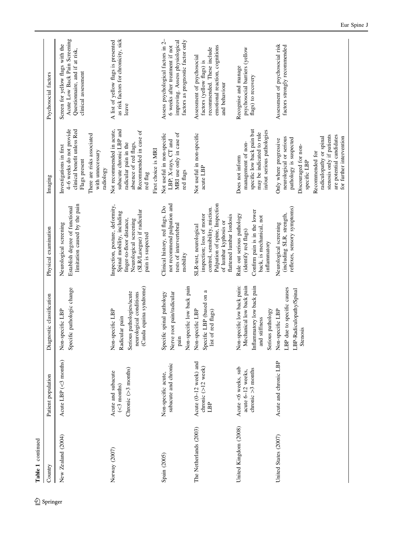| Table 1 continued      |                                                                          |                                                                                                                             |                                                                                                                                                                               |                                                                                                                                                                                                                                                        |                                                                                                                                              |
|------------------------|--------------------------------------------------------------------------|-----------------------------------------------------------------------------------------------------------------------------|-------------------------------------------------------------------------------------------------------------------------------------------------------------------------------|--------------------------------------------------------------------------------------------------------------------------------------------------------------------------------------------------------------------------------------------------------|----------------------------------------------------------------------------------------------------------------------------------------------|
| Country                | Patient population                                                       | Diagnostic classification                                                                                                   | Physical examination                                                                                                                                                          | Imaging                                                                                                                                                                                                                                                | Psychosocial factors                                                                                                                         |
| New Zealand (2004)     | Acute LBP $(<$ 3 months)                                                 | Specific pathologic change<br>Non-specific LBP                                                                              | limitation caused by the pain<br>Establish degree of functional<br>Neurological screening                                                                                     | 4–6 weeks do not provide<br>clinical benefit unless Red<br>There are risks associated<br>Investigations in first<br>with unnecessary<br>Flags present<br>radiology                                                                                     | Acute Low Back Pain Screening<br>Screen for yellow flags with the<br>Questionnaire, and if at risk,<br>clinical assessment                   |
| Norway (2007)          | Chronic $(>3$ months)<br>Acute and subacute<br>$(\leq 3 \text{ months})$ | (Cauda equina syndrome)<br>Serious pathologies/acute<br>neurological conditions<br>Non-specific LBP<br>Radicular pain       | Inspection, posture, deformity,<br>(SLR/Lasegue) if radicular<br>Spinal mobility, including<br>finger-to-floor distance,<br>Neurological screening<br>pain is suspected       | Not recommended in acute,<br>subacute chronic LBP and<br>Recommended in case of<br>absence of red flags,<br>radicular pain in the<br>First choice is MRI<br>red flag                                                                                   | as risk factors for chronicity, sick<br>A list of yellow flags is presented<br>leave                                                         |
| Spain (2005)           | subacute and chronic<br>Non-specific acute,                              | Non-specific low back pain<br>Specific spinal pathology<br>Nerve root pain/radicular<br>pain                                | not recommend palpation and<br>Clinical history, red flags. Do<br>tests of intervertebral<br>mobility                                                                         | MRI use only in case of<br>Not useful in non-specific<br>LBP; X-rays, CT and<br>red flags                                                                                                                                                              | improving. Assess physiological<br>Assess psychological factors in 2-<br>factors as prognostic factor only<br>6 weeks after treatment if not |
| The Netherlands (2003) | Acute (0-12 week) and<br>chronic (>12 week)<br>LBP                       | Specific LBP (based on a<br>Non-specific LBP<br>list of red flags)                                                          | Palpation of spine, Inspection<br>control, sensibility, miction.<br>inspection; loss of motor<br>flattened lumbar lordosis<br>of lumbar kyphosis or<br>SLR-test, neurological | Not useful in non-specific<br>acute LBP                                                                                                                                                                                                                | emotional reaction, cognitions<br>recommended. These include<br>Assessment of psychosocial<br>factors (yellow flags) is<br>and behaviour     |
| United Kingdom (2008)  | Acute <6 weeks, sub<br>chronic $>3$ months<br>acute 6-12 weeks,          | Non-specific low back pain:<br>Mechanical low back pain<br>Inflammatory low back pain<br>Serious pathology<br>and stiffness | Confirm pain is in the lower<br>Rule out serious pathology<br>back, is mechanical, not<br>(identify red flags)<br>inflammatory                                                | specific low back pain but<br>in/out serious pathologies<br>may be indicated to rule<br>management of non-<br>Does not inform                                                                                                                          | psychosocial barriers (yellow<br>Recognise and manage<br>flags) to recovery                                                                  |
| United States (2007)   | Acute and chronic LBP                                                    | LBP due to specific causes<br>LBP-Radiculopathy/Spinal<br>Non-specific LBP<br>Stenosis                                      | reflexes, sensory symptoms)<br>(including SLR, strength,<br>Neurological screening                                                                                            | stenosis only if patients<br>are potential candidates<br>for further intervention<br>radiculopathy or spinal<br>neurological or serious<br>pathology is suspected<br>Only where progressive<br>Discouraged for non-<br>Recommended for<br>specific LBP | Assessment of psychosocial risk<br>factors strongly recommended                                                                              |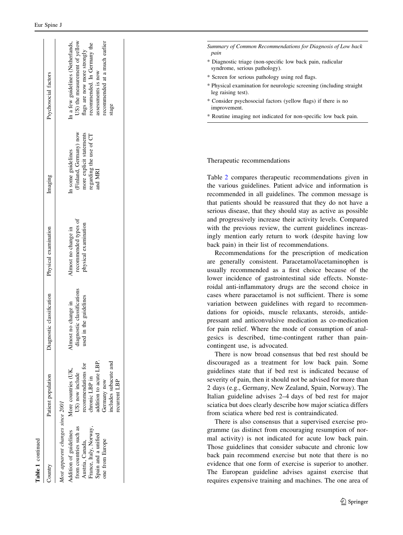| Table 1 continued                                                                                                                                                            |                                                                                                                                                                   |                                                                                  |                                                                     |                                                                                                                |                                                                                                                                                                                                  |
|------------------------------------------------------------------------------------------------------------------------------------------------------------------------------|-------------------------------------------------------------------------------------------------------------------------------------------------------------------|----------------------------------------------------------------------------------|---------------------------------------------------------------------|----------------------------------------------------------------------------------------------------------------|--------------------------------------------------------------------------------------------------------------------------------------------------------------------------------------------------|
| Country                                                                                                                                                                      | Patient population                                                                                                                                                | Diagnostic classification                                                        | Physical examination                                                | Imaging                                                                                                        | Psychosocial factors                                                                                                                                                                             |
| Most apparent changes since 2001<br>from countries such as<br>France, Italy, Norway,<br>Addition of guidelines<br>Spain and a unified<br>one from Europe<br>Austria, Canada, | includes subacute and<br>addition to acute LBP<br>recommendations for<br>More countries (UK,<br>US) now include<br>chronic LBP in<br>recurrent LBP<br>Germany now | diagnostic classifications<br>I in the guidelines<br>Almost no change in<br>used | recommended types of<br>physical examination<br>Almost no change in | (Finland, Germany) now<br>more explicit statements<br>regarding the use of CT<br>In some guidelines<br>and MRI | US) the measurement of yellow<br>recommended at a much earlier<br>In a few guidelines (Netherlands,<br>recommended. In Germany the<br>flags are now more strongly<br>assessments is now<br>stage |
|                                                                                                                                                                              |                                                                                                                                                                   |                                                                                  |                                                                     |                                                                                                                |                                                                                                                                                                                                  |

Summary of Common Recommendations for Diagnosis of Low back pain

- \* Diagnostic triage (non-specific low back pain, radicular syndrome, serious pathology).
- \* Screen for serious pathology using red flags.
- \* Physical examination for neurologic screening (including straight leg raising test).
- \* Consider psychosocial factors (yellow flags) if there is no improvement.
- \* Routine imaging not indicated for non-specific low back pain.

#### Therapeutic recommendations

Table [2](#page-7-0) compares therapeutic recommendations given in the various guidelines. Patient advice and information is recommended in all guidelines. The common message is that patients should be reassured that they do not have a serious disease, that they should stay as active as possible and progressively increase their activity levels. Compared with the previous review, the current guidelines increasingly mention early return to work (despite having low back pain) in their list of recommendations.

Recommendations for the prescription of medication are generally consistent. Paracetamol/acetaminophen is usually recommended as a first choice because of the lower incidence of gastrointestinal side effects. Nonsteroidal anti-inflammatory drugs are the second choice in cases where paracetamol is not sufficient. There is some variation between guidelines with regard to recommendations for opioids, muscle relaxants, steroids, antidepressant and anticonvulsive medication as co-medication for pain relief. Where the mode of consumption of analgesics is described, time-contingent rather than paincontingent use, is advocated.

There is now broad consensus that bed rest should be discouraged as a treatment for low back pain. Some guidelines state that if bed rest is indicated because of severity of pain, then it should not be advised for more than 2 days (e.g., Germany, New Zealand, Spain, Norway). The Italian guideline advises 2–4 days of bed rest for major sciatica but does clearly describe how major sciatica differs from sciatica where bed rest is contraindicated.

There is also consensus that a supervised exercise programme (as distinct from encouraging resumption of normal activity) is not indicated for acute low back pain. Those guidelines that consider subacute and chronic low back pain recommend exercise but note that there is no evidence that one form of exercise is superior to another. The European guideline advises against exercise that requires expensive training and machines. The one area of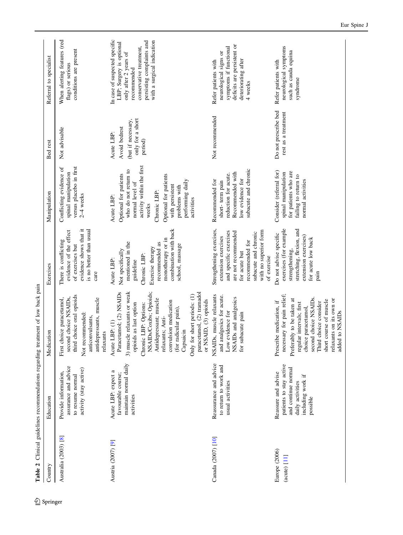<span id="page-7-0"></span>

| Country                         | Education                                                                                                                  | Medication                                                                                                                                                                                                                                                                                                                                               | Exercises                                                                                                                                                                                            | Manipulation                                                                                                                                                                                                                        | Bed rest                                                                         | Referral to specialist                                                                                                                                                                  |
|---------------------------------|----------------------------------------------------------------------------------------------------------------------------|----------------------------------------------------------------------------------------------------------------------------------------------------------------------------------------------------------------------------------------------------------------------------------------------------------------------------------------------------------|------------------------------------------------------------------------------------------------------------------------------------------------------------------------------------------------------|-------------------------------------------------------------------------------------------------------------------------------------------------------------------------------------------------------------------------------------|----------------------------------------------------------------------------------|-----------------------------------------------------------------------------------------------------------------------------------------------------------------------------------------|
| Australia (2003) [8]            | assurance and advice<br>activity (stay active)<br>Provide information.<br>to resume normal                                 | third choice oral opioids<br>second choice NSAIDs,<br>antidepressants, muscle<br>First choice paracetamol,<br>Not recommended:<br>anticonvulsants,<br>relaxants                                                                                                                                                                                          | evidence shows that it<br>is no better than usual<br>evidence of the effect<br>There is conflicting<br>of exercises but<br>care                                                                      | versus placebo in first<br>Conflicting evidence of<br>spinal manipulation<br>$2-4$ weeks                                                                                                                                            | Not advisable                                                                    | When alerting features (red<br>conditions are present<br>flags) or serious                                                                                                              |
| Austria (2007) [9]              | maintain normal daily<br>Acute LBP: expect a<br>favourable course;<br>activities                                           | NSAIDs/Coxibs; Opioids;<br>Paracetamol; (2) NSAIDs<br>3) muscle relaxants or weak<br>paracetamol, (2) tramadol<br>Only for short periods: (1)<br>Antidepressant; muscle<br>or NSAID, (3) opioids<br>convulsion medication<br>opioids as last option<br>Chronic LBP: Options:<br>(for radicular pain),<br>relaxants; Anti-<br>Acute LBP: (1)<br>Capsaicin | combination with back<br>monotherapy or in<br>mentioned in the<br>recommended as<br>school, massage<br>Exercise therapy<br>Not specifically<br>Chronic LBP:<br>Acute LBP:<br>guideline               | activity within the first<br>who do not return to<br>Optional for patients<br>Optional for patients<br>performing daily<br>normal level of<br>with persistent<br>problems with<br>Chronic LBP:<br>Acute LBP:<br>activities<br>weeks | only for a short<br>(but if necessary,<br>Avoid bedrest<br>Acute LBP:<br>period) | In case of suspected specific<br>persisting complaints and<br>with a surgical indication<br>LBP; Surgery is optional<br>conservative treatment,<br>only after 2 years of<br>recommended |
| Canada (2007) [10]              | Reassurance and advice<br>to return to work and<br>usual activities                                                        | NSAIDs, muscle relaxants<br>and analgesics for acute.<br>NSAIDs and analgesics<br>evidence for<br>for subacute pain<br>$_{\text{Low}}$                                                                                                                                                                                                                   | Strengthening exercises,<br>and specific exercises<br>with no superior form<br>are not recommended<br>subacute and chronic<br>extension exercises<br>recommended for<br>for acute but<br>of exercise | subacute and chronic<br>Recommended with<br>reduction for acute.<br>low evidence for<br>Recommended for<br>short-term pain                                                                                                          | Not recommended                                                                  | deficits are persistent or<br>symptoms if functional<br>neurological signs or<br>deteriorating after<br>Refer patients with<br>4 weeks                                                  |
| Europe (2006)<br>$(acute)$ [11] | patients to stay active<br>and continue normal<br>Reassure and advise<br>including work if<br>daily activities<br>possible | necessary for pain relief;<br>second choice NSAIDs.<br>Preferably to be taken at<br>relaxants on its own or<br>short course of muscle<br>Prescribe medication, if<br>choice consider<br>regular intervals; first<br>choice paracetamol,<br>added to NSAIDs<br>Third                                                                                      | exercises (for example<br>stretching, flexion, and<br>Do not advise specific<br>extension exercises)<br>for acute low back<br>strengthening,<br>pain                                                 | Consider (referral for)<br>for patients who are<br>spinal manipulation<br>failing to return to<br>normal activities                                                                                                                 | Do not prescribe bed<br>rest as a treatment                                      | neurological symptoms<br>such as cauda equina<br>Refer patients with<br>syndrome                                                                                                        |

Table 2 Clinical guidelines recommendations regarding treatment of low back pain Table 2 Clinical guidelines recommendations regarding treatment of low back pain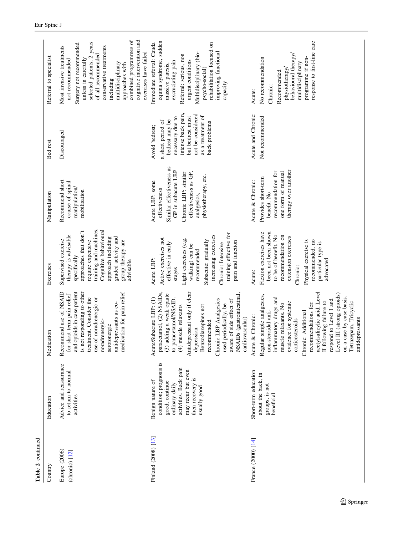| Table 2 continued                 |                                                                                                                                                                    |                                                                                                                                                                                                                                                                                                                                                                                                              |                                                                                                                                                                                                                                                   |                                                                                                                                                                          |                                                                                                                                                                                |                                                                                                                                                                                                                                                                                                                    |
|-----------------------------------|--------------------------------------------------------------------------------------------------------------------------------------------------------------------|--------------------------------------------------------------------------------------------------------------------------------------------------------------------------------------------------------------------------------------------------------------------------------------------------------------------------------------------------------------------------------------------------------------|---------------------------------------------------------------------------------------------------------------------------------------------------------------------------------------------------------------------------------------------------|--------------------------------------------------------------------------------------------------------------------------------------------------------------------------|--------------------------------------------------------------------------------------------------------------------------------------------------------------------------------|--------------------------------------------------------------------------------------------------------------------------------------------------------------------------------------------------------------------------------------------------------------------------------------------------------------------|
| Country                           | Education                                                                                                                                                          | Medication                                                                                                                                                                                                                                                                                                                                                                                                   | Exercises                                                                                                                                                                                                                                         | Manipulation                                                                                                                                                             | Bed rest                                                                                                                                                                       | Referral to specialist                                                                                                                                                                                                                                                                                             |
| Europe (2006)<br>$(chronic)$ [12] | Advice and reassurance<br>to return to normal<br>activities                                                                                                        | and opioids in case patient<br>Recommend use of NSAID<br>is not responding to other<br>medication for pain relief<br>for short term pain relief<br>treatment. Consider the<br>use of noradrenergic or<br>antidepressants as co-<br>noradrenergic-<br>serotonergic                                                                                                                                            | training and machines.<br>Cognitive behavioural<br>approaches that don't<br>therapy is advisable<br>graded activity and<br>approach including<br>Supervised exercise<br>require expensive<br>group therapy are<br>specifically<br>advisable       | Recommend short<br>course of spinal<br>manipulation/<br>mobilisation                                                                                                     | Discouraged                                                                                                                                                                    | combined programmes of<br>cognitive intervention and<br>selected patients, 2 years<br>Surgery not recommended<br>Most invasive treatments<br>conservative treatments<br>exercises have failed<br>of all recommended<br>unless in carefully<br>not recommended<br>multidisciplinary<br>approaches with<br>including |
| Finland (2008) [13]               | condition; prognosis is<br>activities. Back pain<br>may recur but even<br>then recovery is<br>Benign nature of<br>good; continue<br>ordinary daily<br>usually good | Antidepressant only if clear<br>paracetamol, (2) NSAIDs,<br>(3) adding a weak opiate<br>NSAIDs (gastrointestinal<br>Acute/Subacute LBP: (1)<br>to paracetamol/NSAID.<br>aware of side effect of<br>Chronic LBP Analgesics<br>used periodically, be<br>(4) muscle relaxants<br>Benzodiazepines not<br>cardiovascular)<br>recommended<br>depression.                                                           | training effective for<br>increasing exercises<br>Active exercises not<br>Light exercises (e.g.<br>Subacute: gradually<br>pain and function<br>effective in early<br>Chronic: Intensive<br>walking) can be<br>recommended<br>Acute LBP:<br>stages | Similar effectiveness as<br>GP in subacute LBP<br>effectiveness as GP,<br>Chronic LBP: similar<br>physiotherapy, etc.<br>Acute LBP: some<br>effectiveness<br>analgesics, | intense back pain,<br>not be considered<br>as a treatment of<br>necessary due to<br>but bedrest must<br>bedrest may be<br>a short period of<br>back problems<br>Avoid bedrest; | equina syndrome, sudden<br>rehabilitation focused on<br>Immediate referral: Cauda<br>improving functional<br>Multidisciplinary (bio-<br>Referral: serious, non<br>urgent conditions<br>excruciating pain<br>massive paresis,<br>psycho-social)<br>capacity                                                         |
| France (2000) [14]                | Short-term education<br>about the back, in<br>groups, is not<br>beneficial                                                                                         | acetylsalicylic acid, Level<br>Level III (strong opioids)<br>Regular simple analgesics,<br>inflammatory drugs and<br>on a case by case basis.<br>respond to Level I and<br>II following failure to<br>Tetrazepam, Tricyclic<br>evidence for systemic<br>recommendations for:<br>muscle relaxants. No<br>non-steroidal anti-<br>Chronic: Additional<br>Acute & Chronic:<br>antidepressants<br>corticosteroids | Flexion exercises have<br>been not been shown<br>to be of benefit. No<br>recommendation on<br>extension exercises<br>Physical exercise is<br>recommended, no<br>particular type is<br>advocated<br>Chronic:<br>Acute:                             | therapy over another<br>recommendation for<br>one form of manual<br>Provides short-term<br>Acute & Chronic:<br>benefit. No                                               | Acute and Chronic:<br>Not recommended                                                                                                                                          | response to first-line care<br>behavioural therapy/<br>programme if non-<br>No recommendation<br>multidisciplinary<br>physiotherapy/<br>Recommended<br>Chronic:<br>Acute:                                                                                                                                          |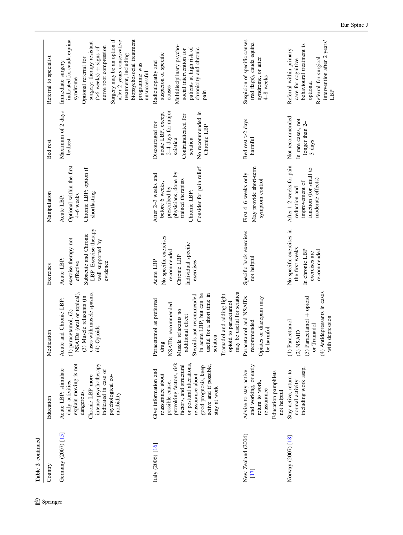| Table 2 continued          |                                                                                                                                                                                                                                        |                                                                                                                                                                                                                                                                                                                          |                                                                                                                                   |                                                                                                                                                  |                                                                                                                                                 |                                                                                                                                                                                                                                                                                                                            |
|----------------------------|----------------------------------------------------------------------------------------------------------------------------------------------------------------------------------------------------------------------------------------|--------------------------------------------------------------------------------------------------------------------------------------------------------------------------------------------------------------------------------------------------------------------------------------------------------------------------|-----------------------------------------------------------------------------------------------------------------------------------|--------------------------------------------------------------------------------------------------------------------------------------------------|-------------------------------------------------------------------------------------------------------------------------------------------------|----------------------------------------------------------------------------------------------------------------------------------------------------------------------------------------------------------------------------------------------------------------------------------------------------------------------------|
| Country                    | Education                                                                                                                                                                                                                              | Medication                                                                                                                                                                                                                                                                                                               | Exercises                                                                                                                         | Manipulation                                                                                                                                     | Bed rest                                                                                                                                        | Referral to specialist                                                                                                                                                                                                                                                                                                     |
| Germany (2007) [15]        | explain moving is not<br>intense psychotherapy<br>Acute LBP: stimulate<br>indicated in case of<br>Chronic LBP more<br>psychological co-<br>daily activities,<br>dangerous,<br>morbidity                                                | cases with muscle spasms,<br>NSAIDs (oral or topical).<br>(3) Muscle relaxants (in<br>Acute and Chronic LBP:<br>$(1)$ paracetamol, $(2)$<br>(4) Opioids                                                                                                                                                                  | LBP: Exercise therapy<br>Subacute and Chronic<br>exercise therapy not<br>well supported by<br>Acute LBP:<br>effective<br>evidence | Optional within the first<br>Chronic LBP: option if<br>shortlasting<br>4-6 weeks<br>Acute LBP:                                                   | Maximum of 2 days<br>bedrest                                                                                                                    | indicated for cauda equina<br>Surgery may be an option if<br>biopsychosocial treatment<br>after 2 years conservative<br>surgery: therapy resistant<br>nerve root compression<br>$(>6$ weeks) + signs of<br>treatment, including<br>Optional referral for<br>Immediate surgery<br>programme was<br>unsuccessful<br>syndrome |
| Italy (2006) [16]          | provoking factors, risk<br>or postural alterations,<br>active and if possible,<br>factors, and structural<br>good prognosis, keep<br>Give information and<br>reassurance about<br>reassurance about<br>possible cause,<br>stay at work | may be useful for sciatica<br>for a short time in<br>in acute LBP, but can be<br>Tramadol and adding light<br>Steroids not recommended<br>Paracetamol as preferred<br>opioid to paracetamol<br>NSAIDs recommended<br>Muscle relaxants no<br>additional effect<br>sciatica<br>useful<br>$d\mathbf{r}\mathbf{u}\mathbf{g}$ | No specific exercises<br>Individual specific<br>recommended<br>Chronic LBP<br>Acute LBP<br>exercises                              | Consider for pain relief<br>physicians, done by<br>After 2-3 weeks and<br>trained therapists<br>before 6 weeks,<br>prescribed by<br>Chronic LBP: | $2-4$ days for major<br>No recommended in<br>acute LBP, except<br>Contraindicated for<br>Discouraged for<br>Chronic LBP<br>sciatica<br>sciatica | Multidisciplinary psycho-<br>patients at high risk of<br>chronicity and chronic<br>social intervention for<br>suspicion of specific<br>Radiculopathy and<br>causes<br>pain                                                                                                                                                 |
| New Zealand (2004)<br>[17] | and working, or early<br>Advise to stay active<br>Education pamphlets<br>return to work,<br>reassurance<br>not helpful                                                                                                                 | Paracetamol and NSAIDs<br>Opiates or diazepam may<br>recommended<br>be harmful                                                                                                                                                                                                                                           | Specific back exercises<br>not helpful                                                                                            | May provide short-term<br>First 4–6 weeks only<br>symptom control                                                                                | Bed rest >2 days<br>harmful                                                                                                                     | Suspicion of specific causes<br>(red flags), cauda equina<br>syndrome, or after<br>4-8 weeks                                                                                                                                                                                                                               |
| Norway (2007) [18]         | including work asap,<br>Stay active, return to<br>normal activity                                                                                                                                                                      | (4) Antidepressants in cases<br>$(3)$ Paracetamol + opioid<br>with depression<br>(1) Paracetamol<br>or Tramadol<br>$(2)$ NSAID                                                                                                                                                                                           | No specific exercises in<br>the first weeks<br>In chronic LBP<br>recommended<br>exercises are                                     | After 1-2 weeks for pain<br>function (for small to<br>moderate effects)<br>improvement of<br>reduction and                                       | Not recommended<br>In rare cases, not<br>longer than 2-<br>3 days                                                                               | intervention after 2 years'<br>behavioural treatment is<br>Referral within primary<br>Referral for surgical<br>care for cognitive<br>optional<br>LBP                                                                                                                                                                       |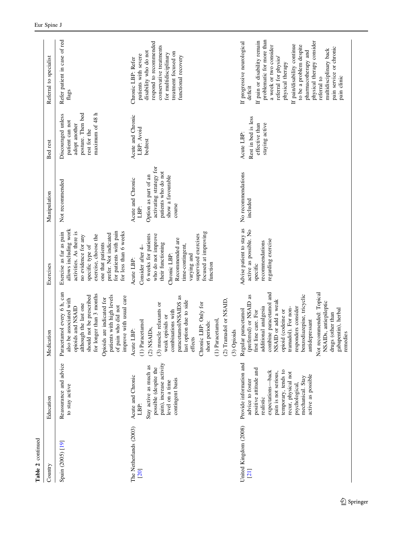| Table 2 continued               |                                                                                                                                                                                                                                          |                                                                                                                                                                                                                                                                                                                                                                                     |                                                                                                                                                                                                                                                 |                                                                                                                                    |                                                                                                                |                                                                                                                                                                                                                                                                                                                                                                            |
|---------------------------------|------------------------------------------------------------------------------------------------------------------------------------------------------------------------------------------------------------------------------------------|-------------------------------------------------------------------------------------------------------------------------------------------------------------------------------------------------------------------------------------------------------------------------------------------------------------------------------------------------------------------------------------|-------------------------------------------------------------------------------------------------------------------------------------------------------------------------------------------------------------------------------------------------|------------------------------------------------------------------------------------------------------------------------------------|----------------------------------------------------------------------------------------------------------------|----------------------------------------------------------------------------------------------------------------------------------------------------------------------------------------------------------------------------------------------------------------------------------------------------------------------------------------------------------------------------|
| Country                         | Education                                                                                                                                                                                                                                | Medication                                                                                                                                                                                                                                                                                                                                                                          | Exercises                                                                                                                                                                                                                                       | Manipulation                                                                                                                       | Bed rest                                                                                                       | Referral to specialist                                                                                                                                                                                                                                                                                                                                                     |
| Spain (2005) [19]               | Reassurance and advice<br>to stay active                                                                                                                                                                                                 | Paracetamol every 6 h, can<br>for longer than 3 months<br>should not be prescribed<br>patients with high levels<br>improve with usual care<br>Opioids are indicated for<br>also be associated with<br>although the last one<br>of pain who did not<br>opioids and NSAID                                                                                                             | allows including work<br>for patients with pain<br>for less than 6 weeks<br>Exercise as far as pain<br>activities. As there is<br>prefer. Not indicated<br>exercise, choose the<br>no evidence for any<br>one that patients<br>specific type of | Not recommended                                                                                                                    | maximum of 48 h<br>posture. Then bed<br>Discouraged unless<br>patient can not<br>adopt another<br>rest for the | Refer patient in case of red<br>flags                                                                                                                                                                                                                                                                                                                                      |
| The Netherlands (2003)<br>[20]  | pain), increase activity<br>Stay active as much as<br>possible (despite the<br>Acute and Chronic<br>contingent basis<br>level on a time<br>LBP:                                                                                          | paracetamol/NSAIDS as<br>(2) Tramadol or NSAID,<br>last option due to side<br>Chronic LBP: Only for<br>(3) muscle relaxants or<br>combinations with<br>weak opioids or<br>(1) Paracetamol,<br>(1) Paracetamol<br>short periods:<br>$(2)$ NSAIDs,<br>(3) Opioids<br>Acute LBP:<br>effects                                                                                            | focused at improving<br>supervised exercises<br>6 weeks for patients<br>who do not improve<br>Recommended are<br>their functioning<br>time-contingent,<br>Consider after 4<br>varying and<br>Chronic LBP:<br>Acute LBP:<br>function             | activating strategy for<br>patients who do not<br>Option as part of an<br>show a favourable<br>Acute and Chronic<br>course<br>LBP: | Acute and Chronic<br>LBP: Avoid<br>bedrest                                                                     | respond to recommended<br>conservative treatments<br>disability who do not<br>treatment focused on<br>for multidisciplinary<br>patients with severe<br>functional recovery<br>Chronic LBP: Refer                                                                                                                                                                           |
| United Kingdom (2008)<br>$[21]$ | Provide information and<br>positive attitude and<br>temporary, tends to<br>expectations-back<br>pain is not serious,<br>recur, physical not<br>active as possible<br>mechanical. Stay<br>advice to foster<br>psychological,<br>realistic | combine paracetamol and<br>Not recommended: Topical<br>benzodiazepine, tricyclic<br>(preferred) or NSAID as<br>NSAID or add a weak<br>NSAIDs, antiepileptic<br>additional analgesia<br>responders consider<br>tramadol). For non-<br>gabapentin), herbal<br>Regular paracetamol<br>(codeine or<br>first line care. For<br>drugs (other than<br>antidepressant<br>remedies<br>opioid | Advise patient to stay as<br>active as possible. No<br>regarding exercise<br>recommendations<br>specific                                                                                                                                        | No recommendations<br>included                                                                                                     | Rest in bed is less<br>effective than<br>staying active<br>Acute LBP:                                          | problematic for more than<br>If pain or disability remain<br>physical therapy consider<br>If progressive neurological<br>If pain/disability continue<br>a week or two consider<br>to be a problem despite<br>pain service or chronic<br>multidisciplinary back<br>pharmacotherapy and<br>referral for physio/<br>physical therapy<br>pain clinic<br>referral to<br>deficit |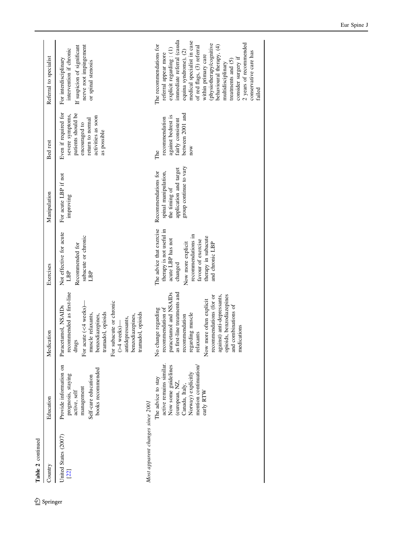| Table 2 continued                |                                                                                                                                                                      |                                                                                                                                                                                                                                                                                                             |                                                                                                                                                                                                 |                                                                                                                  |                                                                                                                                          |                                                                                                                                                                                                                                                                                                                                                                         |
|----------------------------------|----------------------------------------------------------------------------------------------------------------------------------------------------------------------|-------------------------------------------------------------------------------------------------------------------------------------------------------------------------------------------------------------------------------------------------------------------------------------------------------------|-------------------------------------------------------------------------------------------------------------------------------------------------------------------------------------------------|------------------------------------------------------------------------------------------------------------------|------------------------------------------------------------------------------------------------------------------------------------------|-------------------------------------------------------------------------------------------------------------------------------------------------------------------------------------------------------------------------------------------------------------------------------------------------------------------------------------------------------------------------|
| Country                          | Education                                                                                                                                                            | Medication                                                                                                                                                                                                                                                                                                  | Exercises                                                                                                                                                                                       | Manipulation                                                                                                     | Bed rest                                                                                                                                 | Referral to specialist                                                                                                                                                                                                                                                                                                                                                  |
| United States (2007)<br>[22]     | Provide information on<br>books recommended<br>prognosis, staying<br>Self-care education<br>management<br>active, self                                               | recommended as first-line<br>For subacute or chronic<br>For acute $(<$ weeks)<br>Paracetamol, NSAIDs<br>tramadol, opioids<br>tramadol, opioids<br>muscle relaxants,<br>benzodiazepines,<br>benzodiazepines,<br>antidepressants,<br>$($ >4 weeks) $-$<br>drugs                                               | Not effective for acute<br>subacute or chronic<br>Recommended for<br>LBP<br>LBP                                                                                                                 | For acute LBP if not<br>improving                                                                                | Even if required for<br>patients should be<br>severe symptoms,<br>activities as soon<br>return to normal<br>encouraged to<br>as possible | nerve root impingement<br>If suspicion of significant<br>intervention if chronic<br>For interdisciplinary<br>or spinal stenosis                                                                                                                                                                                                                                         |
| Most apparent changes since 2001 | active remains similar.<br>Now some guidelines<br>mention continuation/<br>Norway) explicitly<br>The advice to stay<br>(european, NZ,<br>Canada, Italy,<br>early RTW | as first-line treatments and<br>paracetamol and NSAIDs<br>opioids, benzodiazepines<br>recommendations (for or<br>against) anti-depressants,<br>Now more often explicit<br>and combinations of<br>recommendation of<br>No change regarding<br>regarding muscle<br>recommendation<br>medications<br>relaxants | The advice that exercise<br>therapy is not useful in<br>recommendations in<br>therapy in subacute<br>acute LBP has not<br>favour of exercise<br>Now more explicit<br>and chronic LBP<br>changed | group continue to vary<br>application and target<br>Recommendations for<br>spinal manipulation,<br>the timing of | between 2001 and<br>against bedrest is<br>recommendation<br>fairly consistent<br>now<br>The                                              | immediate referral (cauda<br>medical specialist in case<br>2 years of recommended<br>(physiotherapy/cognitive<br>The recommendations for<br>behavioural therapy, (4)<br>of red flags, (3) referral<br>explicit regarding: (1)<br>equina syndrome), (2)<br>referral appear more<br>within primary care<br>consider surgery if<br>treatments and (5)<br>multidisciplinary |
|                                  |                                                                                                                                                                      |                                                                                                                                                                                                                                                                                                             |                                                                                                                                                                                                 |                                                                                                                  |                                                                                                                                          | conservative care has<br>failed                                                                                                                                                                                                                                                                                                                                         |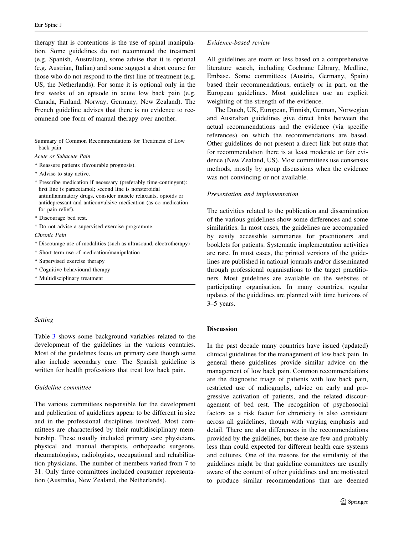therapy that is contentious is the use of spinal manipulation. Some guidelines do not recommend the treatment (e.g. Spanish, Australian), some advise that it is optional (e.g. Austrian, Italian) and some suggest a short course for those who do not respond to the first line of treatment (e.g. US, the Netherlands). For some it is optional only in the first weeks of an episode in acute low back pain (e.g. Canada, Finland, Norway, Germany, New Zealand). The French guideline advises that there is no evidence to recommend one form of manual therapy over another.

Summary of Common Recommendations for Treatment of Low back pain

Acute or Subacute Pain

\* Reassure patients (favourable prognosis).

\* Advise to stay active.

\* Prescribe medication if necessary (preferably time-contingent): first line is paracetamol; second line is nonsteroidal antiinflammatory drugs, consider muscle relaxants, opioids or antidepressant and anticonvulsive medication (as co-medication for pain relief).

\* Discourage bed rest.

\* Do not advise a supervised exercise programme.

Chronic Pain

\* Discourage use of modalities (such as ultrasound, electrotherapy)

\* Short-term use of medication/manipulation

\* Supervised exercise therapy

\* Cognitive behavioural therapy

\* Multidisciplinary treatment

#### Setting

Table [3](#page-13-0) shows some background variables related to the development of the guidelines in the various countries. Most of the guidelines focus on primary care though some also include secondary care. The Spanish guideline is written for health professions that treat low back pain.

## Guideline committee

The various committees responsible for the development and publication of guidelines appear to be different in size and in the professional disciplines involved. Most committees are characterised by their multidisciplinary membership. These usually included primary care physicians, physical and manual therapists, orthopaedic surgeons, rheumatologists, radiologists, occupational and rehabilitation physicians. The number of members varied from 7 to 31. Only three committees included consumer representation (Australia, New Zealand, the Netherlands).

#### Evidence-based review

All guidelines are more or less based on a comprehensive literature search, including Cochrane Library, Medline, Embase. Some committees (Austria, Germany, Spain) based their recommendations, entirely or in part, on the European guidelines. Most guidelines use an explicit weighting of the strength of the evidence.

The Dutch, UK, European, Finnish, German, Norwegian and Australian guidelines give direct links between the actual recommendations and the evidence (via specific references) on which the recommendations are based. Other guidelines do not present a direct link but state that for recommendation there is at least moderate or fair evidence (New Zealand, US). Most committees use consensus methods, mostly by group discussions when the evidence was not convincing or not available.

#### Presentation and implementation

The activities related to the publication and dissemination of the various guidelines show some differences and some similarities. In most cases, the guidelines are accompanied by easily accessible summaries for practitioners and booklets for patients. Systematic implementation activities are rare. In most cases, the printed versions of the guidelines are published in national journals and/or disseminated through professional organisations to the target practitioners. Most guidelines are available on the websites of participating organisation. In many countries, regular updates of the guidelines are planned with time horizons of 3–5 years.

# Discussion

In the past decade many countries have issued (updated) clinical guidelines for the management of low back pain. In general these guidelines provide similar advice on the management of low back pain. Common recommendations are the diagnostic triage of patients with low back pain, restricted use of radiographs, advice on early and progressive activation of patients, and the related discouragement of bed rest. The recognition of psychosocial factors as a risk factor for chronicity is also consistent across all guidelines, though with varying emphasis and detail. There are also differences in the recommendations provided by the guidelines, but these are few and probably less than could expected for different health care systems and cultures. One of the reasons for the similarity of the guidelines might be that guideline committees are usually aware of the content of other guidelines and are motivated to produce similar recommendations that are deemed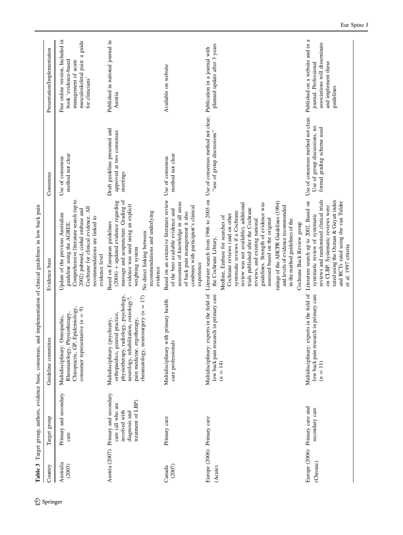<span id="page-13-0"></span>

|                                       |                                                                                                   | Table 3 Target group, authors, evidence base, consensus, and implementation of clinical guidelines in low back pain                                                                                                          |                                                                                                                                                                                                                                                                                                                                                                                                                                                                                                                       |                                                                                                  |                                                                                                                                     |
|---------------------------------------|---------------------------------------------------------------------------------------------------|------------------------------------------------------------------------------------------------------------------------------------------------------------------------------------------------------------------------------|-----------------------------------------------------------------------------------------------------------------------------------------------------------------------------------------------------------------------------------------------------------------------------------------------------------------------------------------------------------------------------------------------------------------------------------------------------------------------------------------------------------------------|--------------------------------------------------------------------------------------------------|-------------------------------------------------------------------------------------------------------------------------------------|
| Country                               | Target group                                                                                      | Guideline committee                                                                                                                                                                                                          | Evidence base                                                                                                                                                                                                                                                                                                                                                                                                                                                                                                         | Consensus                                                                                        | Presentation/Implementation                                                                                                         |
| Australia<br>(2003)                   | Primary and secondary<br>care                                                                     | Epidemiology,<br>consumer representative $(n = 9)$<br>Rheumatology, Physiotherapy,<br>Multidisciplinary: Osteopathic,<br>Chiropractic, GP,                                                                                   | Comprehensive literature search (up to<br>Cochrane for clinical evidence. All<br>2002) pubmed, cinhal embase and<br>Update of the previous Australian<br>recommendations are linked to<br>guideline using the AGREE<br>evidence level                                                                                                                                                                                                                                                                                 | method not clear<br>Use of consensus                                                             | Free online version, Included in<br>musculoskeletal pain: a guide<br>book 'evidence-based<br>management of acute<br>for clinicians' |
| Austria (2007)                        | Primary and secondary<br>treatment of LBP)<br>care (all who are<br>involved with<br>diagnosis and | physiotherapy, radiology, psychology,<br>rheumatology, neurosurgery $(n = 17)$<br>neurology, rehabilitation, osteology?,<br>orthopaedics, general practice,<br>Multidisciplinary (psychiatry,<br>pain medicine, ergotherapy, | massage and acupuncture. Grading of<br>$(2004)$ + updated evidence regarding<br>evidence was used using an explicit<br>recommendations and underlying<br>Based on European guidelines<br>No direct linking between<br>weighting system<br>evidence                                                                                                                                                                                                                                                                    | Draft guideline presented and<br>approved at two consensus<br>meetings                           | Published in national journal in<br>Austria                                                                                         |
| (2007)<br>Canada                      | Primary care                                                                                      | Multidisciplinary with primary health<br>care professionals                                                                                                                                                                  | Based on an extensive literature review<br>assessment of knowledge in all areas<br>combines with participant's clinical<br>of the best available evidence and<br>of back pain management it also<br>experience                                                                                                                                                                                                                                                                                                        | method not clear<br>Use of consensus                                                             | Available on website                                                                                                                |
| Europe (2006) Primary care<br>(Acute) |                                                                                                   | Multidisciplinary: experts in the field of<br>low back pain research in primary care<br>$(n = 14)$                                                                                                                           | Literature search from 1966 to 2003 on<br>ratings of the AHCPR Guidelines (1994)<br>review was not available), additional<br>guidelines. Strength of evidence was<br>and levels of evidence recommended<br>trials published after the Cochrane<br>systematic reviews if a Cochrane<br>Cochrane reviews (and on other<br>Medline, Embase for searches of<br>assessed based on the original<br>reviews, and existing national<br>in the method guidelines of the<br>Cochrane Back Review group<br>the Cochrane Library, | Use of consensus method not clear; Publication in a journal with<br>"use of group discussions"   | planned update after 3 years                                                                                                        |
| (Chronic)                             | Europe (2006) Primary care and<br>secondary care                                                  | Multidisciplinary: experts in the field of Literature search up to 2002. Based on<br>low back pain research in primary care<br>$(n = 11)$                                                                                    | reviews and randomised clinical trials<br>rated using the Oxman & Guyatt index<br>and RCTs rated using the van Tulder<br>on CLBP. Systematic reviews were<br>systematic review of systematic<br>et al. 1997 criteria                                                                                                                                                                                                                                                                                                  | Use of consensus method not clear.<br>Use of group discussions, no<br>formal grading scheme used | Published on a website and in a<br>associations will disseminate<br>journal. Professional<br>and implement these<br>guidelines      |

 $\underline{\textcircled{\tiny 2}}$  Springer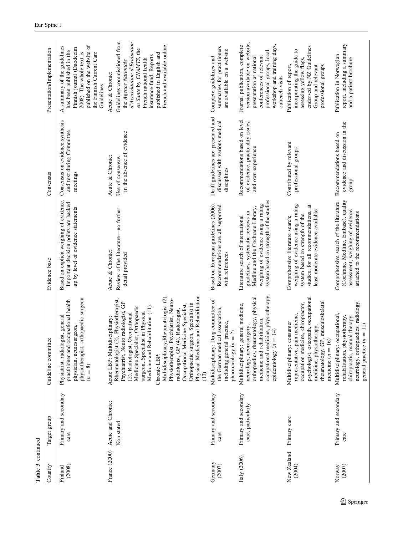| Country               | Target group                                | Guideline committee                                                                                                                                                                                                                                                                                                                                                                                                                                                                                                          | Evidence base                                                                                                                                                                                  | Consensus                                                                                | Presentation/Implementation                                                                                                                                                                                                                         |
|-----------------------|---------------------------------------------|------------------------------------------------------------------------------------------------------------------------------------------------------------------------------------------------------------------------------------------------------------------------------------------------------------------------------------------------------------------------------------------------------------------------------------------------------------------------------------------------------------------------------|------------------------------------------------------------------------------------------------------------------------------------------------------------------------------------------------|------------------------------------------------------------------------------------------|-----------------------------------------------------------------------------------------------------------------------------------------------------------------------------------------------------------------------------------------------------|
| (2008)<br>Finland     | Primary and secondary<br>care               | physiotherapist, orthopaedic surgeon<br>practitioner and occupational health<br>Physiatrist, radiologist, general<br>physician, neurosurgeon,<br>$(n=8)$                                                                                                                                                                                                                                                                                                                                                                     | Based on explicit weighing of evidence.<br>Important decision points are backed<br>up by level of evidence statements                                                                          | Consensus on evidence synthesis<br>and text during Committee<br>meetings                 | published on the website of<br>A summary of the guidelines<br>Finnish journal (Duodecim<br>has been published in the<br>2008). The whole text is<br>the Finnish Current Care<br>Guidelines                                                          |
| France (2000)         | Acute and Chronic:<br>Non stated            | Multidisciplinary;Rheumatologist (2),<br>Physical Medicine and Rehabilitation<br>Physiotherapist, Psychiatrist, Neuro-<br>Rheumatologist (2), Physiotherapist,<br>Psychiatrist, Neuro radiologist, GP<br>Orthopaedic surgeon, Specialist in<br>Occupational Medicine Specialist,<br>Medicine and Rehabilitation (11).<br>Medicine Specialist, Orthopaedic<br>radiologist, GP (4), Radiologist,<br>surgeon, Specialist in Physical<br>(2), Radiologist, Occupational<br>Acute LBP: Multidisciplinary;<br>Chronic LBP:<br>(13) | Review of the literature-no further<br>Acute & Chronic:<br>detail provided                                                                                                                     | in the absence of evidence<br>Acute & Chronic:<br>Use of consensus                       | Guidelines commissioned from<br>d'Accreditation d'Evaluation<br>French and available online<br>en Sante by CNAMTS, the<br>published in English and<br>insurance fund. Reports<br>French national health<br>the Agence Nationale<br>Acute & Chronic: |
| Germany<br>(2007)     | Primary and secondary<br>care               | Multidisciplinary: Drug committee of<br>the German medical association,<br>practice,<br>$\widehat{\gamma}$<br>including general<br>pharmacology (n                                                                                                                                                                                                                                                                                                                                                                           | Based on European guidelines (2006).<br>Recommendations are all supported<br>with references                                                                                                   | Draft guidelines are presented and<br>discussed with various medical<br>disciplines      | summaries for practitioners<br>are available on a website<br>Complete guidelines and                                                                                                                                                                |
| Italy $(2006)$        | Primary and secondary<br>care, particularly | occupational medicine, physiotherapy,<br>orthopaedics, rheumatology, physical<br>Multidisciplinary: general medicine,<br>medicine and rehabilitation<br>neurology, neurosurgery,<br>epidemiology $(n = 14)$                                                                                                                                                                                                                                                                                                                  | system based on strength of the studies<br>weighing of evidence using a rating<br>Medline and the Cochrane Library,<br>guidelines, systematic reviews in<br>Literature search of international | Recommendations based on level<br>of evidence, practicality issues<br>and own experience | version available on website,<br>workshop and training days,<br>Journal publication, complete<br>professional groups, local<br>conferences of relevant<br>presentation at national<br>outreach visits                                               |
| New Zealand<br>(2004) | Primary care                                | psychologist, osteopath, occupational<br>rheumatology, GP, musculoskeletal<br>medicine $(n = 16)$<br>occupation medicine, chiropractor,<br>representative, pain medicine,<br>Multidisciplinary: consumer<br>medicine, physiotherapy,                                                                                                                                                                                                                                                                                         | weighing of evidence using a rating<br>studies; for all recommendations, at<br>least moderate evidence available<br>system based on strength of the<br>Comprehensive literature search;        | Contributed by relevant<br>professional groups                                           | endorsed by NZ Guidelines<br>incorporating the guide to<br>assessing yellow flags.<br>Publication of report,<br>professional groups<br>Group and relevant                                                                                           |
| (2007)<br>Norway      | Primary and secondary<br>care               | neurology, orthopaedics, radiology,<br>Multidisciplinary: occupational,<br>rehabilitation, physiotherapy,<br>chiropractic, manual therapy<br>general practice $(n = 11)$                                                                                                                                                                                                                                                                                                                                                     | (Cochrane, Medline, Embase), quality<br>Comprehensive search of the literature<br>assessment, weighing of evidence<br>attached to the recommendations                                          | evidence and discussion in the<br>Recommendations based on<br>group                      | report, including a summary<br>Publication in Norwegian<br>and a patient brochure                                                                                                                                                                   |

Table 3 continued

Table 3 continued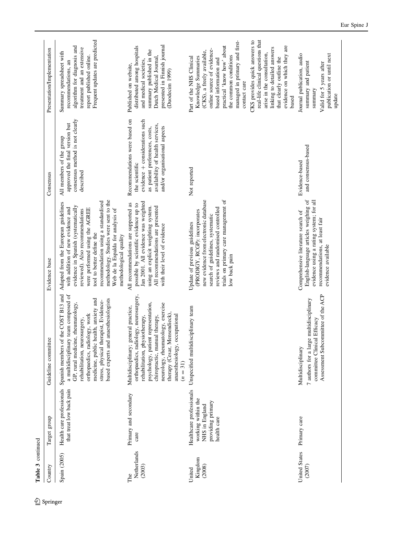| Table 3 continued            |                                                                                                      |                                                                                                                                                                                                                                                                                                                |                                                                                                                                                                                                                                                                                                                                                                   |                                                                                                                                                                                          |                                                                                                                                                                                                                                              |
|------------------------------|------------------------------------------------------------------------------------------------------|----------------------------------------------------------------------------------------------------------------------------------------------------------------------------------------------------------------------------------------------------------------------------------------------------------------|-------------------------------------------------------------------------------------------------------------------------------------------------------------------------------------------------------------------------------------------------------------------------------------------------------------------------------------------------------------------|------------------------------------------------------------------------------------------------------------------------------------------------------------------------------------------|----------------------------------------------------------------------------------------------------------------------------------------------------------------------------------------------------------------------------------------------|
| Country                      | Target group                                                                                         | Guideline committee                                                                                                                                                                                                                                                                                            | Evidence base                                                                                                                                                                                                                                                                                                                                                     | Consensus                                                                                                                                                                                | Presentation/Implementation                                                                                                                                                                                                                  |
| Spain (2005)                 | Health care professionals<br>that treat low back pain                                                | Spanish members of the COST B13 and<br>a multidisciplinary team composed of<br>medicine, public health, anxiety and<br>anaesthesiologists<br>stress, physical therapist, Evidence-<br>GP, rural medicine, rheumatology,<br>orthopaedics, radiology, work<br>rehabilitation, neurosurgery,<br>based experts and | methodology. Studies were sent to the<br>recommendation using a standardised<br>Adapted from the European guidelines<br>evidence in Spanish (systematically<br>with addition of new evidence and<br>were performed using the AGREE<br>Web de la Espalda for analysis of<br>reviewed). Also recommendations<br>tool to better define the<br>methodological quality | consensus method is not clearly<br>approved the final version but<br>All members of the group<br>described                                                                               | Frequent updates are predicted<br>algorithm for diagnosis and<br>treatment and an extensive<br>Summary spreadsheet with<br>report published online.<br>recommendations, an                                                                   |
| Netherlands<br>(2003)<br>The | Primary and secondary<br>care                                                                        | orthopaedics, radiology, neurosurgery,<br>psychology, patient representation,<br>neurology, rheumatology, exercise<br>Multidisciplinary; general practice,<br>therapy (Cesar, Mensendieck)<br>anaesthesiology, occupational<br>chiropractic, manual therapy,<br>rehabilitation, physiotherapy,<br>$(n = 31)$   | Jan 2001. All evidence was weighted<br>All recommendations are supported as<br>possible by scientific evidence up to<br>using an explicit weighting system.<br>All recommendations are presented<br>with their level of evidence                                                                                                                                  | Recommendations were based on<br>evidence + considerations such<br>availability of health services,<br>and/or organisational aspects<br>as patient preferences, costs,<br>the scientific | presented in Finnish journal<br>distributed among hospitals<br>summary published in the<br>Dutch Medical Journal,<br>and medical societies,<br>Published on website,<br>(Duodecim 1999)                                                      |
| Kingdom<br>(2008)<br>United  | Healthcare professionals<br>working within the<br>providing primary<br>NHS in England<br>health care | sciplinary team<br>Unspecified multidis                                                                                                                                                                                                                                                                        | trials on primary care management of<br>new evidence from electronic database<br>reviews and randomised controlled<br>(PRODIGY, RCGP): incorporates<br>search of guidelines, systematic<br>Update of previous guidelines<br>low back pain                                                                                                                         | Not reported                                                                                                                                                                             | managed in primary and first-<br>practical 'know how' about<br>online source of evidence-<br>(CKS), a freely available,<br>the common conditions<br>Knowledge Summaries<br>Part of the NHS Clinical<br>based information and<br>contact care |
|                              |                                                                                                      |                                                                                                                                                                                                                                                                                                                |                                                                                                                                                                                                                                                                                                                                                                   |                                                                                                                                                                                          | real-life clinical questions that<br>CKS provides quick answers to<br>evidence on which they are<br>linking to detailed answers<br>arise in the consultation,<br>that clearly outline the<br>based                                           |
| United States<br>(2007)      | Primary care                                                                                         | Assessment Subcommittee of the ACP<br>7 authors for a large multidisciplinary<br>committee Clinical Efficacy<br>Multidisciplinary                                                                                                                                                                              | English-language articles weighing of<br>evidence using a rating system; for all<br>Comprehensive literature search of<br>recommendations, at least fair<br>evidence available                                                                                                                                                                                    | and consensus-based<br>Evidence-based                                                                                                                                                    | publication or until next<br>Journal publication, audio<br>summary and patient<br>Valid for 5 years after<br>summary<br>update                                                                                                               |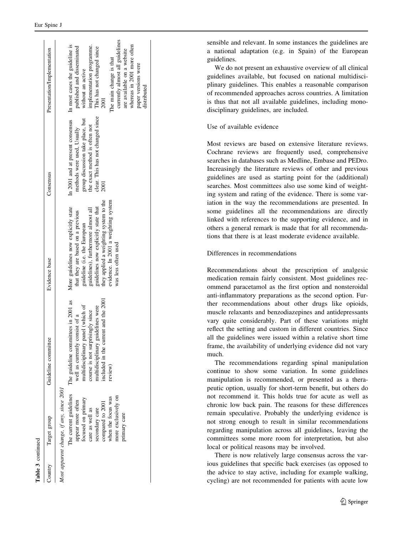| Table 3 continued |                                                                                                                                                                                                                                     |                                                                                                                                                                                                                                        |                                                                                                                                                                                                                                                                                                   |                                                                                                                                                                                  |                                                                                                                                                                                                                                                                                                                      |
|-------------------|-------------------------------------------------------------------------------------------------------------------------------------------------------------------------------------------------------------------------------------|----------------------------------------------------------------------------------------------------------------------------------------------------------------------------------------------------------------------------------------|---------------------------------------------------------------------------------------------------------------------------------------------------------------------------------------------------------------------------------------------------------------------------------------------------|----------------------------------------------------------------------------------------------------------------------------------------------------------------------------------|----------------------------------------------------------------------------------------------------------------------------------------------------------------------------------------------------------------------------------------------------------------------------------------------------------------------|
| Sountry           | Target group                                                                                                                                                                                                                        | Guideline committee                                                                                                                                                                                                                    | Evidence base                                                                                                                                                                                                                                                                                     | Consensus                                                                                                                                                                        | Presentation/Implementation                                                                                                                                                                                                                                                                                          |
|                   | Most apparent change, if any, since 2001<br>The current guidelines<br>more exclusively on<br>when the focus was<br>focused on primary<br>appear more often<br>compared to 2001<br>care as well as<br>secondary care<br>primary care | included in the current and the 2001<br>The guideline committees in 2001 as<br>multidisciplinary panel (which of<br>multidisciplinary guidelines were<br>course is not surprisingly since<br>well as currently consist of a<br>review) | they applied a weighting system to the<br>evidence. In 2001 a weighting system<br>guidelines now explicitly state that<br>More guidelines now explicitly state<br>guidelines), furthermore almost all<br>that they are based on a previous<br>guideline (i.e. the European<br>was less often used | In 2001 and at present consensus<br>clear. This has not changed since<br>group discussion take place, but<br>the exact method is often not<br>methods were used, Usually<br>2001 | currently almost all guidelines<br>In most cases the guideline is<br>whereas in 2001 more often<br>implementation programme.<br>published and disseminated<br>This has not changed since<br>are available on a website<br>The main change is that<br>paper versions were<br>without an active<br>distributed<br>2001 |

sensible and relevant. In some instances the guidelines are a national adaptation (e.g. in Spain) of the European guidelines.

We do not present an exhaustive overview of all clinical guidelines available, but focused on national multidisciplinary guidelines. This enables a reasonable comparison of recommended approaches across countries. A limitation is thus that not all available guidelines, including monodisciplinary guidelines, are included.

# Use of available evidence

Most reviews are based on extensive literature reviews. Cochrane reviews are frequently used, comprehensive searches in databases such as Medline, Embase and PEDro. Increasingly the literature reviews of other and previous guidelines are used as starting point for the (additional) searches. Most committees also use some kind of weighting system and rating of the evidence. There is some variation in the way the recommendations are presented. In some guidelines all the recommendations are directly linked with references to the supporting evidence, and in others a general remark is made that for all recommendations that there is at least moderate evidence available.

# Differences in recommendations

Recommendations about the prescription of analgesic medication remain fairly consistent. Most guidelines recommend paracetamol as the first option and nonsteroidal anti-inflammatory preparations as the second option. Further recommendations about other drugs like opioids, muscle relaxants and benzodiazepines and antidepressants vary quite considerably. Part of these variations might reflect the setting and custom in different countries. Since all the guidelines were issued within a relative short time frame, the availability of underlying evidence did not vary much.

The recommendations regarding spinal manipulation continue to show some variation. In some guidelines manipulation is recommended, or presented as a therapeutic option, usually for short-term benefit, but others do not recommend it. This holds true for acute as well as chronic low back pain. The reasons for these differences remain speculative. Probably the underlying evidence is not strong enough to result in similar recommendations regarding manipulation across all guidelines, leaving the committees some more room for interpretation, but also local or political reasons may be involved.

There is now relatively large consensus across the various guidelines that specific back exercises (as opposed to the advice to stay active, including for example walking, cycling) are not recommended for patients with acute low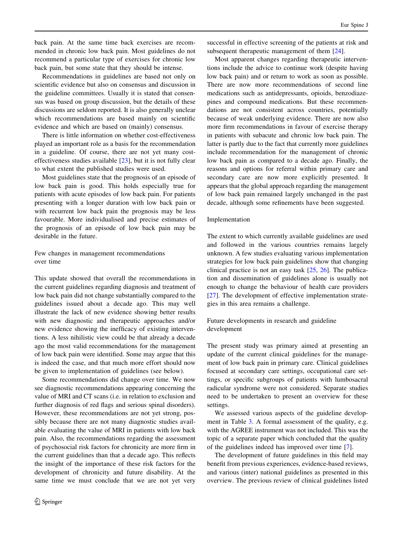back pain. At the same time back exercises are recommended in chronic low back pain. Most guidelines do not recommend a particular type of exercises for chronic low back pain, but some state that they should be intense.

Recommendations in guidelines are based not only on scientific evidence but also on consensus and discussion in the guideline committees. Usually it is stated that consensus was based on group discussion, but the details of these discussions are seldom reported. It is also generally unclear which recommendations are based mainly on scientific evidence and which are based on (mainly) consensus.

There is little information on whether cost-effectiveness played an important role as a basis for the recommendation in a guideline. Of course, there are not yet many costeffectiveness studies available [\[23](#page-18-0)], but it is not fully clear to what extent the published studies were used.

Most guidelines state that the prognosis of an episode of low back pain is good. This holds especially true for patients with acute episodes of low back pain. For patients presenting with a longer duration with low back pain or with recurrent low back pain the prognosis may be less favourable. More individualised and precise estimates of the prognosis of an episode of low back pain may be desirable in the future.

Few changes in management recommendations over time

This update showed that overall the recommendations in the current guidelines regarding diagnosis and treatment of low back pain did not change substantially compared to the guidelines issued about a decade ago. This may well illustrate the lack of new evidence showing better results with new diagnostic and therapeutic approaches and/or new evidence showing the inefficacy of existing interventions. A less nihilistic view could be that already a decade ago the most valid recommendations for the management of low back pain were identified. Some may argue that this is indeed the case, and that much more effort should now be given to implementation of guidelines (see below).

Some recommendations did change over time. We now see diagnostic recommendations appearing concerning the value of MRI and CT scans (i.e. in relation to exclusion and further diagnosis of red flags and serious spinal disorders). However, these recommendations are not yet strong, possibly because there are not many diagnostic studies available evaluating the value of MRI in patients with low back pain. Also, the recommendations regarding the assessment of psychosocial risk factors for chronicity are more firm in the current guidelines than that a decade ago. This reflects the insight of the importance of these risk factors for the development of chronicity and future disability. At the same time we must conclude that we are not yet very

successful in effective screening of the patients at risk and subsequent therapeutic management of them [[24\]](#page-18-0).

Most apparent changes regarding therapeutic interventions include the advice to continue work (despite having low back pain) and or return to work as soon as possible. There are now more recommendations of second line medications such as antidepressants, opioids, benzodiazepines and compound medications. But these recommendations are not consistent across countries, potentially because of weak underlying evidence. There are now also more firm recommendations in favour of exercise therapy in patients with subacute and chronic low back pain. The latter is partly due to the fact that currently more guidelines include recommendation for the management of chronic low back pain as compared to a decade ago. Finally, the reasons and options for referral within primary care and secondary care are now more explicitly presented. It appears that the global approach regarding the management of low back pain remained largely unchanged in the past decade, although some refinements have been suggested.

#### Implementation

The extent to which currently available guidelines are used and followed in the various countries remains largely unknown. A few studies evaluating various implementation strategies for low back pain guidelines show that changing clinical practice is not an easy task [\[25](#page-18-0), [26](#page-19-0)]. The publication and dissemination of guidelines alone is usually not enough to change the behaviour of health care providers [\[27](#page-19-0)]. The development of effective implementation strategies in this area remains a challenge.

Future developments in research and guideline development

The present study was primary aimed at presenting an update of the current clinical guidelines for the management of low back pain in primary care. Clinical guidelines focused at secondary care settings, occupational care settings, or specific subgroups of patients with lumbosacral radicular syndrome were not considered. Separate studies need to be undertaken to present an overview for these settings.

We assessed various aspects of the guideline development in Table [3](#page-13-0). A formal assessment of the quality, e.g. with the AGREE instrument was not included. This was the topic of a separate paper which concluded that the quality of the guidelines indeed has improved over time [[7\]](#page-18-0).

The development of future guidelines in this field may benefit from previous experiences, evidence-based reviews, and various (inter) national guidelines as presented in this overview. The previous review of clinical guidelines listed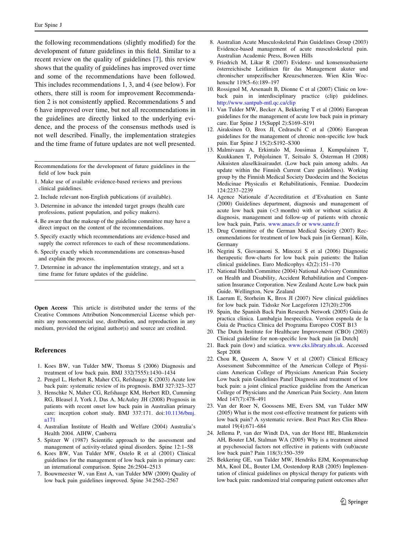<span id="page-18-0"></span>the following recommendations (slightly modified) for the development of future guidelines in this field. Similar to a recent review on the quality of guidelines [7], this review shows that the quality of guidelines has improved over time and some of the recommendations have been followed. This includes recommendations 1, 3, and 4 (see below). For others, there still is room for improvement Recommendation 2 is not consistently applied. Recommendations 5 and 6 have improved over time, but not all recommendations in the guidelines are directly linked to the underlying evidence, and the process of the consensus methods used is not well described. Finally, the implementation strategies and the time frame of future updates are not well presented.

Recommendations for the development of future guidelines in the field of low back pain

- 1. Make use of available evidence-based reviews and previous clinical guidelines.
- 2. Include relevant non-English publications (if available).
- 3. Determine in advance the intended target groups (health care professions, patient population, and policy makers).
- 4. Be aware that the makeup of the guideline committee may have a direct impact on the content of the recommendations.
- 5. Specify exactly which recommendations are evidence-based and supply the correct references to each of these recommendations.
- 6. Specify exactly which recommendations are consensus-based and explain the process.
- 7. Determine in advance the implementation strategy, and set a time frame for future updates of the guideline.

Open Access This article is distributed under the terms of the Creative Commons Attribution Noncommercial License which permits any noncommercial use, distribution, and reproduction in any medium, provided the original author(s) and source are credited.

## References

- 1. Koes BW, van Tulder MW, Thomas S (2006) Diagnosis and treatment of low back pain. BMJ 332(7555):1430–1434
- 2. Pengel L, Herbert R, Maher CG, Refshauge K (2003) Acute low back pain: systematic review of its prognosis. BMJ 327:323–327
- 3. Henschke N, Maher CG, Refshauge KM, Herbert RD, Cumming RG, Bleasel J, York J, Das A, McAuley JH (2008) Prognosis in patients with recent onset low back pain in Australian primary care: inception cohort study. BMJ 337:171. doi:[10.1136/bmj.](http://dx.doi.org/10.1136/bmj.a171) [a171](http://dx.doi.org/10.1136/bmj.a171)
- 4. Australian Institute of Health and Welfare (2004) Australia's Health 2004. AIHW, Canberra
- 5. Spitzer W (1987) Scientific approach to the assessment and management of activity-related spinal disorders. Spine 12:1–58
- 6. Koes BW, Van Tulder MW, Ostelo R et al (2001) Clinical guidelines for the management of low back pain in primary care: an international comparison. Spine 26:2504–2513
- 7. Bouwmeester W, van Enst A, van Tulder MW (2009) Quality of low back pain guidelines improved. Spine 34:2562–2567
- 8. Australian Acute Musculoskeletal Pain Guidelines Group (2003) Evidence-based management of acute musculoskeletal pain. Australian Academic Press, Bowen Hills
- 9. Friedrich M, Likar R (2007) Evidenz- und konsensusbasierte österreichische Leitlinien für das Management akuter und chronischer unspezifischer Kreuzschmerzen. Wien Klin Wochenschr 119(5–6):189–197
- 10. Rossignol M, Arsenault B, Dionne C et al (2007) Clinic on lowback pain in interdisciplinary practice (clip) guidelines. <http://www.santpub-mtl.qc.ca/clip>
- 11. Van Tulder MW, Becker A, Bekkering T et al (2006) European guidelines for the management of acute low back pain in primary care. Eur Spine J 15(Suppl 2):S169–S191
- 12. Airaksinen O, Brox JI, Cedraschi C et al (2006) European guidelines for the management of chronic non-specific low back pain. Eur Spine J 15(2):S192–S300
- 13. Malmivaara A, Erkintalo M, Jousimaa J, Kumpulainen T, Kuukkanen T, Pohjolainen T, Seitsalo S, Österman H (2008) Aikuisten alaselkäsairaudet. (Low back pain among adults. An update within the Finnish Current Care guidelines). Working group by the Finnish Medical Society Duodecim and the Societas Medicinae Physicalis et Rehabilitationis, Fenniae. Duodecim 124:2237–2239
- 14. Agence Nationale d'Accreditation et d'Evaluation en Sante (2000) Guidelines department, diagnosis and management of acute low back pain ( $\leq$ 3 months) with or without sciatica & diagnosis, management and follow-up of patients with chronic low back pain, Paris. [www.anaes.fr](http://www.anaes.fr) or [www.sante.fr](http://www.sante.fr)
- 15. Drug Committee of the German Medical Society (2007) Recommendations for treatment of low back pain [in German]. Köln, Germany
- 16. Negrini S, Giovannoni S, Minozzi S et al (2006) Diagnostic therapeutic flow-charts for low back pain patients: the Italian clinical guidelines. Euro Medicophys 42(2):151–170
- 17. National Health Committee (2004) National Advisory Committee on Health and Disability, Accident Rehabilitation and Compensation Insurance Corporation. New Zealand Acute Low back pain Guide. Wellington, New Zealand
- 18. Laerum E, Storheim K, Brox JI (2007) New clinical guidelines for low back pain. Tidsskr Nor Laegeforen 127(20):2706
- 19. Spain, the Spanish Back Pain Research Network (2005) Guia de practica clinica. Lumbalgia Inespecifica. Version espnola de la Guia de Practica Clinica del Programa Europeo COST B13
- 20. The Dutch Institute for Healthcare Improvement (CBO) (2003) Clinical guideline for non-specific low back pain [in Dutch]
- 21. Back pain (low) and sciatica. [www.cks.library.nhs.uk](http://www.cks.library.nhs.uk). Accessed Sept 2008
- 22. Chou R, Qaseem A, Snow V et al (2007) Clinical Efficacy Assessment Subcommittee of the American College of Physicians American College of Physicians American Pain Society Low back pain Guidelines Panel Diagnosis and treatment of low back pain: a joint clinical practice guideline from the American College of Physicians and the American Pain Society. Ann Intern Med 147(7):478–491
- 23. Van der Roer N, Goossens ME, Evers SM, van Tulder MW (2005) What is the most cost-effective treatment for patients with low back pain? A systematic review. Best Pract Res Clin Rheumatol 19(4):671–684
- 24. Jellema P, van der Windt DA, van der Horst HE, Blankenstein AH, Bouter LM, Stalman WA (2005) Why is a treatment aimed at psychosocial factors not effective in patients with (sub)acute low back pain? Pain 118(3):350–359
- 25. Bekkering GE, van Tulder MW, Hendriks EJM, Koopmanschap MA, Knol DL, Bouter LM, Oostendorp RAB (2005) Implementation of clinical guidelines on physical therapy for patients with low back pain: randomized trial comparing patient outcomes after